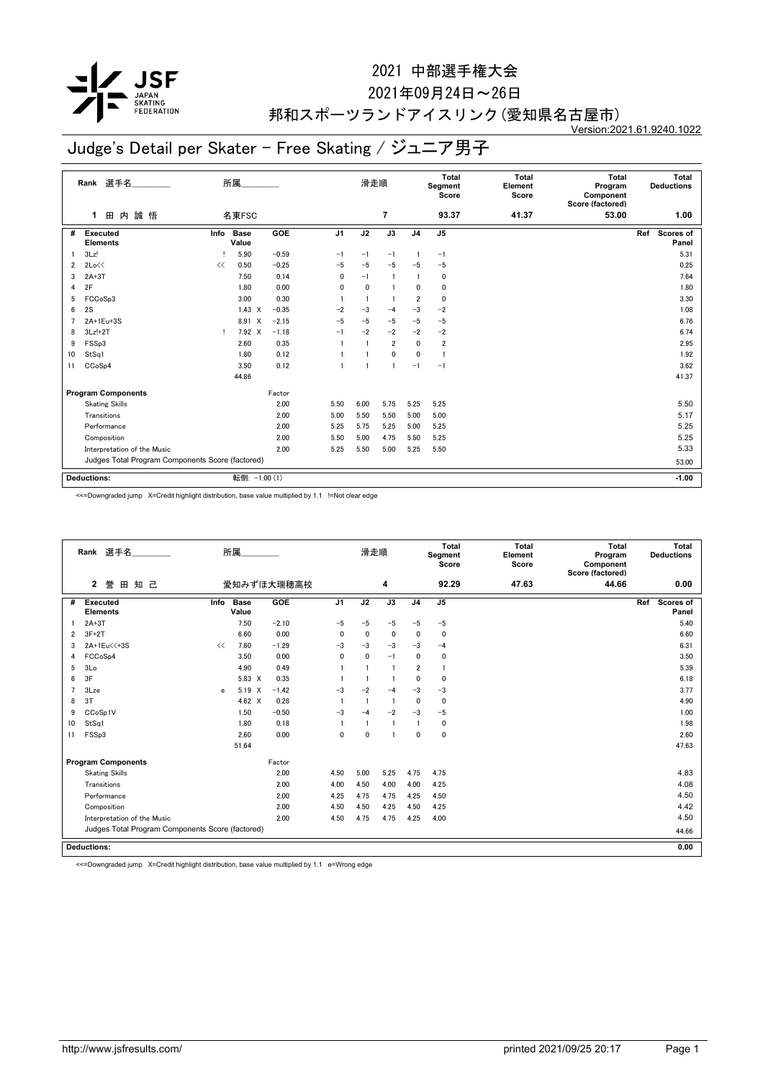

#### 2021年09月24日~26日

#### 邦和スポーツランドアイスリンク(愛知県名古屋市) Version:2021.61.9240.1022

# Judge's Detail per Skater - Free Skating / ジュニア男子

|    | Rank 選手名                                         |      | 所属                                |            |                | 滑走順         |                 |                | Total<br>Segment<br>Score | <b>Total</b><br>Element<br>Score | <b>Total</b><br>Program<br>Component<br>Score (factored) |     | Total<br><b>Deductions</b> |
|----|--------------------------------------------------|------|-----------------------------------|------------|----------------|-------------|-----------------|----------------|---------------------------|----------------------------------|----------------------------------------------------------|-----|----------------------------|
|    | 誠 悟<br>田<br>内<br>1                               |      | 名東FSC                             |            |                |             | $\overline{7}$  |                | 93.37                     | 41.37                            | 53.00                                                    |     | 1.00                       |
| #  | Executed<br><b>Elements</b>                      | Info | <b>Base</b><br>Value              | <b>GOE</b> | J <sub>1</sub> | J2          | $\overline{J3}$ | J <sub>4</sub> | J <sub>5</sub>            |                                  |                                                          | Ref | Scores of<br>Panel         |
|    | 3Lz!                                             |      | 5.90                              | $-0.59$    | $-1$           | $-1$        | $-1$            |                | $-1$                      |                                  |                                                          |     | 5.31                       |
| 2  | 2Lo<<                                            | <<   | 0.50                              | $-0.25$    | $-5$           | $-5$        | $-5$            | $-5$           | $-5$                      |                                  |                                                          |     | 0.25                       |
| 3  | $2A+3T$                                          |      | 7.50                              | 0.14       | 0              | $-1$        | $\overline{1}$  |                | 0                         |                                  |                                                          |     | 7.64                       |
| 4  | 2F                                               |      | 1.80                              | 0.00       | $\mathbf 0$    | $\mathbf 0$ |                 | 0              | 0                         |                                  |                                                          |     | 1.80                       |
| 5  | FCCoSp3                                          |      | 3.00                              | 0.30       |                |             |                 | $\overline{2}$ | 0                         |                                  |                                                          |     | 3.30                       |
| 6  | 2S                                               |      | 1.43<br>$\boldsymbol{\mathsf{X}}$ | $-0.35$    | $-2$           | $-3$        | $-4$            | $-3$           | $-2$                      |                                  |                                                          |     | 1.08                       |
|    | 2A+1Eu+3S                                        |      | 8.91 X                            | $-2.15$    | $-5$           | $-5$        | $-5$            | $-5$           | $-5$                      |                                  |                                                          |     | 6.76                       |
| 8  | $3Lz!+2T$                                        |      | 7.92 X                            | $-1.18$    | $-1$           | $-2$        | $-2$            | $-2$           | $-2$                      |                                  |                                                          |     | 6.74                       |
| 9  | FSSp3                                            |      | 2.60                              | 0.35       |                |             | $\overline{2}$  | 0              | 2                         |                                  |                                                          |     | 2.95                       |
| 10 | StSq1                                            |      | 1.80                              | 0.12       |                |             | $\mathbf{0}$    | 0              | $\mathbf{1}$              |                                  |                                                          |     | 1.92                       |
| 11 | CCoSp4                                           |      | 3.50                              | 0.12       |                |             |                 | $-1$           | $-1$                      |                                  |                                                          |     | 3.62                       |
|    |                                                  |      | 44.86                             |            |                |             |                 |                |                           |                                  |                                                          |     | 41.37                      |
|    | <b>Program Components</b>                        |      |                                   | Factor     |                |             |                 |                |                           |                                  |                                                          |     |                            |
|    | <b>Skating Skills</b>                            |      |                                   | 2.00       | 5.50           | 6.00        | 5.75            | 5.25           | 5.25                      |                                  |                                                          |     | 5.50                       |
|    | Transitions                                      |      |                                   | 2.00       | 5.00           | 5.50        | 5.50            | 5.00           | 5.00                      |                                  |                                                          |     | 5.17                       |
|    | Performance                                      |      |                                   | 2.00       | 5.25           | 5.75        | 5.25            | 5.00           | 5.25                      |                                  |                                                          |     | 5.25                       |
|    | Composition                                      |      |                                   | 2.00       | 5.50           | 5.00        | 4.75            | 5.50           | 5.25                      |                                  |                                                          |     | 5.25                       |
|    | Interpretation of the Music                      |      |                                   | 2.00       | 5.25           | 5.50        | 5.00            | 5.25           | 5.50                      |                                  |                                                          |     | 5.33                       |
|    | Judges Total Program Components Score (factored) |      |                                   |            |                |             |                 |                |                           |                                  |                                                          |     | 53.00                      |
|    | <b>Deductions:</b>                               |      | 転倒: -1.00 (1)                     |            |                |             |                 |                |                           |                                  |                                                          |     |                            |
|    |                                                  |      |                                   |            |                |             |                 |                |                           |                                  |                                                          |     | $-1.00$                    |

<<=Downgraded jump X=Credit highlight distribution, base value multiplied by 1.1 !=Not clear edge

|                | Rank 選手名                                         |      | 所属            |            |                | 滑走順                     |                |                | <b>Total</b><br>Segment<br>Score | <b>Total</b><br>Element<br>Score | Total<br>Program<br>Component<br>Score (factored) | Total<br><b>Deductions</b> |
|----------------|--------------------------------------------------|------|---------------|------------|----------------|-------------------------|----------------|----------------|----------------------------------|----------------------------------|---------------------------------------------------|----------------------------|
|                | $\mathbf{2}$<br>誉<br>知 己<br>田                    |      |               | 愛知みずほ大瑞穂高校 | 4              |                         |                |                |                                  | 47.63                            | 44.66                                             | 0.00                       |
| #              | <b>Executed</b><br><b>Elements</b>               | Info | Base<br>Value | GOE        | J <sub>1</sub> | J2                      | J3             | J <sub>4</sub> | J <sub>5</sub>                   |                                  |                                                   | Ref<br>Scores of<br>Panel  |
|                | $2A+3T$                                          |      | 7.50          | $-2.10$    | $-5$           | $-5$                    | $-5$           | $-5$           | $-5$                             |                                  |                                                   | 5.40                       |
| 2              | $3F+2T$                                          |      | 6.60          | 0.00       | 0              | 0                       | 0              | $\Omega$       | 0                                |                                  |                                                   | 6.60                       |
| 3              | 2A+1Eu<<+3S                                      | <<   | 7.60          | $-1.29$    | $-3$           | $-3$                    | $-3$           | $-3$           | $-4$                             |                                  |                                                   | 6.31                       |
| 4              | FCCoSp4                                          |      | 3.50          | 0.00       | $\mathbf{0}$   | $\mathbf{0}$            | $-1$           | $\mathbf{0}$   | 0                                |                                  |                                                   | 3.50                       |
| 5              | 3 <sub>Lo</sub>                                  |      | 4.90          | 0.49       |                | $\overline{1}$          | $\blacksquare$ | $\overline{2}$ |                                  |                                  |                                                   | 5.39                       |
| 6              | 3F                                               |      | 5.83 X        | 0.35       |                | $\overline{\mathbf{1}}$ | -1             | $\Omega$       | $\mathbf{0}$                     |                                  |                                                   | 6.18                       |
| $\overline{7}$ | 3Lze                                             | e    | 5.19<br>X     | $-1.42$    | $-3$           | $-2$                    | $-4$           | $-3$           | $-3$                             |                                  |                                                   | 3.77                       |
| 8              | 3T                                               |      | 4.62 $\times$ | 0.28       |                | $\overline{1}$          | $\overline{1}$ | $\Omega$       | 0                                |                                  |                                                   | 4.90                       |
| 9              | CCoSp1V                                          |      | 1.50          | $-0.50$    | $-3$           | $-4$                    | $-2$           | $-3$           | $-5$                             |                                  |                                                   | 1.00                       |
| 10             | StSq1                                            |      | 1.80          | 0.18       |                | $\overline{\mathbf{1}}$ |                |                | 0                                |                                  |                                                   | 1.98                       |
| 11             | FSSp3                                            |      | 2.60          | 0.00       | $\mathbf{0}$   | $\mathbf 0$             |                | $\mathbf 0$    | $\mathbf{0}$                     |                                  |                                                   | 2.60                       |
|                |                                                  |      | 51.64         |            |                |                         |                |                |                                  |                                  |                                                   | 47.63                      |
|                | <b>Program Components</b>                        |      |               | Factor     |                |                         |                |                |                                  |                                  |                                                   |                            |
|                | <b>Skating Skills</b>                            |      |               | 2.00       | 4.50           | 5.00                    | 5.25           | 4.75           | 4.75                             |                                  |                                                   | 4.83                       |
|                | Transitions                                      |      |               | 2.00       | 4.00           | 4.50                    | 4.00           | 4.00           | 4.25                             |                                  |                                                   | 4.08                       |
|                | Performance                                      |      |               | 2.00       | 4.25           | 4.75                    | 4.75           | 4.25           | 4.50                             |                                  |                                                   | 4.50                       |
|                | Composition                                      |      |               | 2.00       | 4.50           | 4.50                    | 4.25           | 4.50           | 4.25                             |                                  |                                                   | 4.42                       |
|                | Interpretation of the Music                      |      |               | 2.00       | 4.50           | 4.75                    | 4.75           | 4.25           | 4.00                             |                                  |                                                   | 4.50                       |
|                | Judges Total Program Components Score (factored) |      |               |            |                |                         |                |                |                                  |                                  |                                                   | 44.66                      |
|                | <b>Deductions:</b>                               |      |               |            |                |                         |                |                |                                  |                                  |                                                   | 0.00                       |

<<=Downgraded jump X=Credit highlight distribution, base value multiplied by 1.1 e=Wrong edge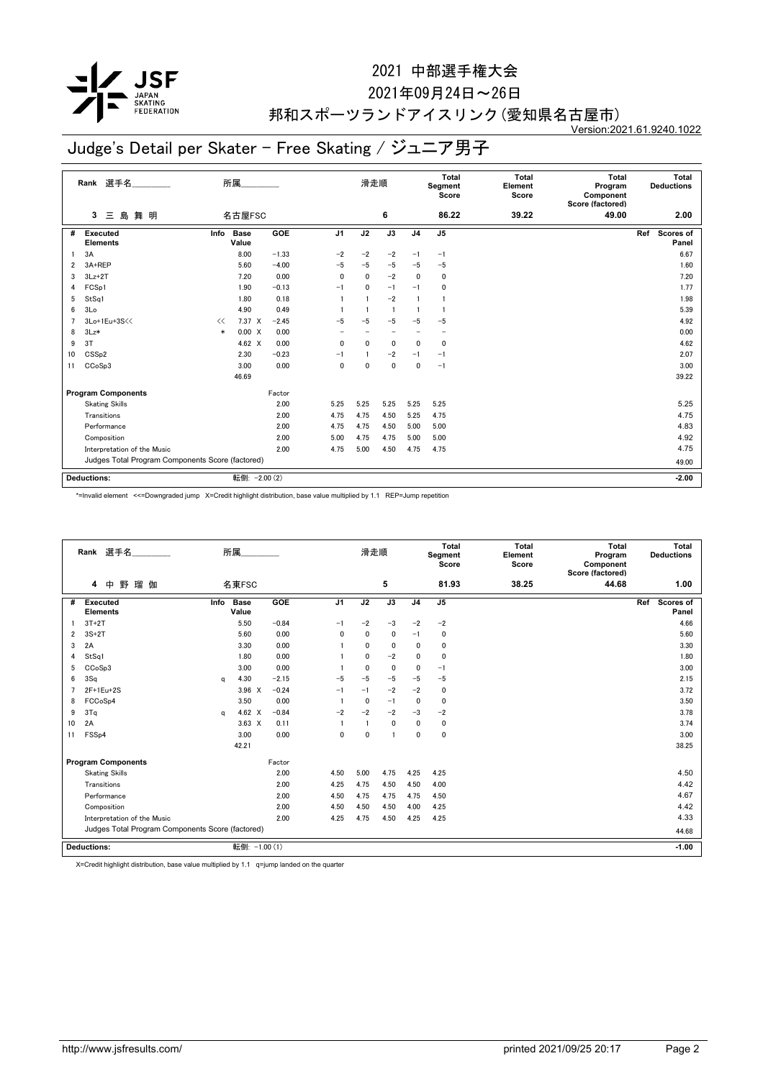

#### 2021年09月24日~26日

#### 邦和スポーツランドアイスリンク(愛知県名古屋市) Version:2021.61.9240.1022

## Judge's Detail per Skater - Free Skating / ジュニア男子

|    | 選手名<br>Rank                                      |        | 所属                   |         |                | 滑走順                 |                          | Total<br>Segment<br>Score |                          | <b>Total</b><br>Element<br>Score | <b>Total</b><br>Program<br>Component<br>Score (factored) | Total<br><b>Deductions</b> |
|----|--------------------------------------------------|--------|----------------------|---------|----------------|---------------------|--------------------------|---------------------------|--------------------------|----------------------------------|----------------------------------------------------------|----------------------------|
|    | 舞明<br>島<br>3<br>Ξ                                |        | 名古屋FSC               |         |                | 6<br>86.22<br>39.22 |                          |                           |                          |                                  | 49.00                                                    | 2.00                       |
| #  | <b>Executed</b><br><b>Elements</b>               | Info   | <b>Base</b><br>Value | GOE     | J <sub>1</sub> | J2                  | J3                       | J <sub>4</sub>            | J5                       |                                  |                                                          | Ref<br>Scores of<br>Panel  |
|    | 3A                                               |        | 8.00                 | $-1.33$ | $-2$           | $-2$                | $-2$                     | $-1$                      | $-1$                     |                                  |                                                          | 6.67                       |
| 2  | 3A+REP                                           |        | 5.60                 | $-4.00$ | $-5$           | $-5$                | $-5$                     | $-5$                      | $-5$                     |                                  |                                                          | 1.60                       |
| 3  | $3Lz + 2T$                                       |        | 7.20                 | 0.00    | 0              | $\mathbf 0$         | $-2$                     | 0                         | 0                        |                                  |                                                          | 7.20                       |
| 4  | FCS <sub>p1</sub>                                |        | 1.90                 | $-0.13$ | $-1$           | $\mathbf{0}$        | $-1$                     | $-1$                      | 0                        |                                  |                                                          | 1.77                       |
| 5  | StSq1                                            |        | 1.80                 | 0.18    |                |                     | $-2$                     | 1                         |                          |                                  |                                                          | 1.98                       |
| 6  | 3Lo                                              |        | 4.90                 | 0.49    |                |                     | $\overline{1}$           |                           | -1                       |                                  |                                                          | 5.39                       |
| 7  | 3Lo+1Eu+3S<<                                     | <<     | $7.37 \times$        | $-2.45$ | $-5$           | $-5$                | $-5$                     | $-5$                      | $-5$                     |                                  |                                                          | 4.92                       |
| 8  | $3Lz*$                                           | $\ast$ | 0.00 X               | 0.00    |                |                     | $\overline{\phantom{0}}$ |                           | $\overline{\phantom{0}}$ |                                  |                                                          | 0.00                       |
| 9  | 3T                                               |        | 4.62 $\times$        | 0.00    | 0              | $\mathbf{0}$        | $\mathbf 0$              | 0                         | 0                        |                                  |                                                          | 4.62                       |
| 10 | CSS <sub>p2</sub>                                |        | 2.30                 | $-0.23$ | $-1$           |                     | $-2$                     | $-1$                      | $-1$                     |                                  |                                                          | 2.07                       |
| 11 | CCoSp3                                           |        | 3.00                 | 0.00    | 0              | $\Omega$            | 0                        | 0                         | $-1$                     |                                  |                                                          | 3.00                       |
|    |                                                  |        | 46.69                |         |                |                     |                          |                           |                          |                                  |                                                          | 39.22                      |
|    | <b>Program Components</b>                        |        |                      | Factor  |                |                     |                          |                           |                          |                                  |                                                          |                            |
|    | <b>Skating Skills</b>                            |        |                      | 2.00    | 5.25           | 5.25                | 5.25                     | 5.25                      | 5.25                     |                                  |                                                          | 5.25                       |
|    | Transitions                                      |        |                      | 2.00    | 4.75           | 4.75                | 4.50                     | 5.25                      | 4.75                     |                                  |                                                          | 4.75                       |
|    | Performance                                      |        |                      | 2.00    | 4.75           | 4.75                | 4.50                     | 5.00                      | 5.00                     |                                  |                                                          | 4.83                       |
|    | Composition                                      |        |                      | 2.00    | 5.00           | 4.75                | 4.75                     | 5.00                      | 5.00                     |                                  |                                                          | 4.92                       |
|    | Interpretation of the Music                      |        |                      | 2.00    | 4.75           | 5.00                | 4.50                     | 4.75                      | 4.75                     |                                  |                                                          | 4.75                       |
|    | Judges Total Program Components Score (factored) |        |                      |         |                |                     |                          |                           |                          |                                  |                                                          | 49.00                      |
|    | <b>Deductions:</b>                               |        | 転倒: - 2.00 (2)       |         |                |                     |                          |                           |                          |                                  |                                                          | $-2.00$                    |

\*=Invalid element <<=Downgraded jump X=Credit highlight distribution, base value multiplied by 1.1 REP=Jump repetition

|    | 選手名<br>Rank                                      | 所属 |                      |         |                | Total<br><b>Total</b><br>滑走順<br>Segment<br>Element<br>Score<br>Score |              | Total<br>Program<br>Component<br>Score (factored) |                | Total<br><b>Deductions</b> |       |     |                    |
|----|--------------------------------------------------|----|----------------------|---------|----------------|----------------------------------------------------------------------|--------------|---------------------------------------------------|----------------|----------------------------|-------|-----|--------------------|
|    | 野<br>瑠伽<br>中<br>4                                |    | 名東FSC                |         |                |                                                                      | 5            |                                                   | 81.93          | 38.25                      | 44.68 |     | 1.00               |
| #  | <b>Executed</b><br>Info<br><b>Elements</b>       |    | <b>Base</b><br>Value | GOE     | J <sub>1</sub> | J2                                                                   | J3           | J <sub>4</sub>                                    | J <sub>5</sub> |                            |       | Ref | Scores of<br>Panel |
|    | $3T+2T$                                          |    | 5.50                 | $-0.84$ | $-1$           | $-2$                                                                 | $-3$         | $-2$                                              | $-2$           |                            |       |     | 4.66               |
| 2  | $3S+2T$                                          |    | 5.60                 | 0.00    | $\mathbf{0}$   | 0                                                                    | 0            | $-1$                                              | $\mathbf 0$    |                            |       |     | 5.60               |
| 3  | 2A                                               |    | 3.30                 | 0.00    |                | $\mathbf{0}$                                                         | 0            | 0                                                 | $\mathbf 0$    |                            |       |     | 3.30               |
| 4  | StSq1                                            |    | 1.80                 | 0.00    |                | 0                                                                    | $-2$         | 0                                                 | $\mathbf 0$    |                            |       |     | 1.80               |
| 5  | CCoSp3                                           |    | 3.00                 | 0.00    |                | $\mathbf{0}$                                                         | $\mathbf{0}$ | 0                                                 | $-1$           |                            |       |     | 3.00               |
| 6  | 3Sq                                              | a  | 4.30                 | $-2.15$ | $-5$           | $-5$                                                                 | $-5$         | $-5$                                              | $-5$           |                            |       |     | 2.15               |
|    | 2F+1Eu+2S                                        |    | $3.96 \times$        | $-0.24$ | $-1$           | $-1$                                                                 | $-2$         | $-2$                                              | $\mathbf 0$    |                            |       |     | 3.72               |
| 8  | FCCoSp4                                          |    | 3.50                 | 0.00    |                | 0                                                                    | $-1$         | 0                                                 | $\mathbf 0$    |                            |       |     | 3.50               |
| 9  | 3Tq                                              | a  | 4.62 X               | $-0.84$ | $-2$           | $-2$                                                                 | $-2$         | $-3$                                              | $-2$           |                            |       |     | 3.78               |
| 10 | 2A                                               |    | $3.63 \times$        | 0.11    |                |                                                                      | 0            | 0                                                 | 0              |                            |       |     | 3.74               |
| 11 | FSS <sub>p4</sub>                                |    | 3.00                 | 0.00    | $\mathbf{0}$   | $\mathbf 0$                                                          | f.           | $\mathbf{0}$                                      | $\mathbf 0$    |                            |       |     | 3.00               |
|    |                                                  |    | 42.21                |         |                |                                                                      |              |                                                   |                |                            |       |     | 38.25              |
|    | <b>Program Components</b>                        |    |                      | Factor  |                |                                                                      |              |                                                   |                |                            |       |     |                    |
|    | <b>Skating Skills</b>                            |    |                      | 2.00    | 4.50           | 5.00                                                                 | 4.75         | 4.25                                              | 4.25           |                            |       |     | 4.50               |
|    | Transitions                                      |    |                      | 2.00    | 4.25           | 4.75                                                                 | 4.50         | 4.50                                              | 4.00           |                            |       |     | 4.42               |
|    | Performance                                      |    |                      | 2.00    | 4.50           | 4.75                                                                 | 4.75         | 4.75                                              | 4.50           |                            |       |     | 4.67               |
|    | Composition                                      |    |                      | 2.00    | 4.50           | 4.50                                                                 | 4.50         | 4.00                                              | 4.25           |                            |       |     | 4.42               |
|    | Interpretation of the Music                      |    |                      | 2.00    | 4.25           | 4.75                                                                 | 4.50         | 4.25                                              | 4.25           |                            |       |     | 4.33               |
|    | Judges Total Program Components Score (factored) |    |                      |         |                |                                                                      |              |                                                   |                |                            |       |     | 44.68              |
|    | <b>Deductions:</b>                               |    | 転倒: -1.00 (1)        |         |                |                                                                      |              |                                                   |                |                            |       |     | $-1.00$            |

X=Credit highlight distribution, base value multiplied by 1.1 q=jump landed on the quarter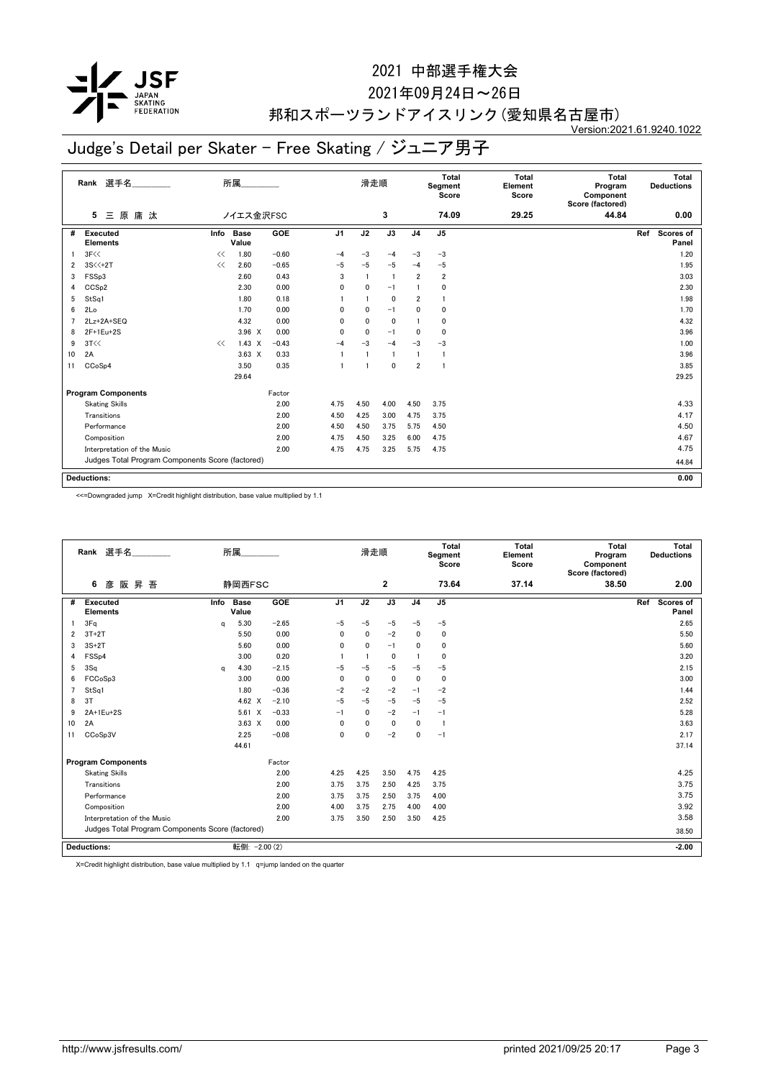

#### 2021年09月24日~26日

#### 邦和スポーツランドアイスリンク(愛知県名古屋市) Version:2021.61.9240.1022

## Judge's Detail per Skater - Free Skating / ジュニア男子

|    | 選手名<br>Rank                                      |      | 所属                   |            |                | 滑走順          |                 | Total<br>Segment<br>Score |                | Total<br>Element<br>Score | Total<br>Program<br>Component<br>Score (factored) | Total<br><b>Deductions</b> |
|----|--------------------------------------------------|------|----------------------|------------|----------------|--------------|-----------------|---------------------------|----------------|---------------------------|---------------------------------------------------|----------------------------|
|    | 三原庸汰<br>5                                        |      | ノイエス金沢FSC            |            |                | 3            |                 | 74.09                     | 29.25          | 44.84                     | 0.00                                              |                            |
| #  | <b>Executed</b><br><b>Elements</b>               | Info | <b>Base</b><br>Value | <b>GOE</b> | J <sub>1</sub> | J2           | $\overline{J3}$ | J <sub>4</sub>            | J <sub>5</sub> |                           |                                                   | Ref<br>Scores of<br>Panel  |
|    | 3F<<                                             | <<   | 1.80                 | $-0.60$    | $-4$           | $-3$         | $-4$            | $-3$                      | $-3$           |                           |                                                   | 1.20                       |
| 2  | $3S<+2T$                                         | <<   | 2.60                 | $-0.65$    | $-5$           | $-5$         | $-5$            | $-4$                      | $-5$           |                           |                                                   | 1.95                       |
| 3  | FSSp3                                            |      | 2.60                 | 0.43       | 3              | $\mathbf{1}$ | $\overline{1}$  | $\overline{2}$            | $\overline{2}$ |                           |                                                   | 3.03                       |
| 4  | CCS <sub>p2</sub>                                |      | 2.30                 | 0.00       | 0              | 0            | $-1$            |                           | 0              |                           |                                                   | 2.30                       |
| 5  | StSq1                                            |      | 1.80                 | 0.18       |                |              | $\mathbf 0$     | $\overline{2}$            | 1              |                           |                                                   | 1.98                       |
| 6  | 2Lo                                              |      | 1.70                 | 0.00       | 0              | $\mathbf 0$  | $-1$            | 0                         | 0              |                           |                                                   | 1.70                       |
| 7  | 2Lz+2A+SEQ                                       |      | 4.32                 | 0.00       | $\mathbf{0}$   | $\mathbf{0}$ | $\mathbf 0$     |                           | 0              |                           |                                                   | 4.32                       |
| 8  | 2F+1Eu+2S                                        |      | $3.96 \times$        | 0.00       | 0              | $\mathbf 0$  | $-1$            | 0                         | 0              |                           |                                                   | 3.96                       |
| 9  | 3T<<                                             | <<   | $1.43 \times$        | $-0.43$    | $-4$           | $-3$         | $-4$            | $-3$                      | $-3$           |                           |                                                   | 1.00                       |
| 10 | 2A                                               |      | $3.63 \times$        | 0.33       |                | -1           | $\overline{1}$  | $\mathbf{1}$              | -1             |                           |                                                   | 3.96                       |
| 11 | CCoSp4                                           |      | 3.50                 | 0.35       |                | -1           | $\mathbf 0$     | $\overline{2}$            | -1             |                           |                                                   | 3.85                       |
|    |                                                  |      | 29.64                |            |                |              |                 |                           |                |                           |                                                   | 29.25                      |
|    | <b>Program Components</b>                        |      |                      | Factor     |                |              |                 |                           |                |                           |                                                   |                            |
|    | <b>Skating Skills</b>                            |      |                      | 2.00       | 4.75           | 4.50         | 4.00            | 4.50                      | 3.75           |                           |                                                   | 4.33                       |
|    | Transitions                                      |      |                      | 2.00       | 4.50           | 4.25         | 3.00            | 4.75                      | 3.75           |                           |                                                   | 4.17                       |
|    | Performance                                      |      |                      | 2.00       | 4.50           | 4.50         | 3.75            | 5.75                      | 4.50           |                           |                                                   | 4.50                       |
|    | Composition                                      |      |                      | 2.00       | 4.75           | 4.50         | 3.25            | 6.00                      | 4.75           |                           |                                                   | 4.67                       |
|    | Interpretation of the Music                      |      |                      | 2.00       | 4.75           | 4.75         | 3.25            | 5.75                      | 4.75           |                           |                                                   | 4.75                       |
|    | Judges Total Program Components Score (factored) |      |                      |            |                |              |                 |                           |                |                           |                                                   | 44.84                      |
|    | <b>Deductions:</b>                               |      |                      |            |                |              |                 |                           |                |                           |                                                   | 0.00                       |

<<=Downgraded jump X=Credit highlight distribution, base value multiplied by 1.1

|    | 選手名<br>Rank                                      |      | 所属                   |         |                | Total<br>Total<br>滑走順<br>Segment<br>Element<br>Score<br>Score |              | Total<br>Program<br>Component<br>Score (factored) |                | Total<br><b>Deductions</b> |       |     |                           |
|----|--------------------------------------------------|------|----------------------|---------|----------------|---------------------------------------------------------------|--------------|---------------------------------------------------|----------------|----------------------------|-------|-----|---------------------------|
|    | 昇 吾<br>6<br>彦<br>阪                               |      | 静岡西FSC               |         |                | $\overline{\mathbf{2}}$<br>73.64                              |              |                                                   |                | 37.14                      | 38.50 |     | 2.00                      |
| #  | <b>Executed</b><br><b>Elements</b>               | Info | <b>Base</b><br>Value | GOE     | J <sub>1</sub> | J2                                                            | J3           | J <sub>4</sub>                                    | J <sub>5</sub> |                            |       | Ref | <b>Scores of</b><br>Panel |
|    | 3Fq                                              | a    | 5.30                 | $-2.65$ | $-5$           | $-5$                                                          | $-5$         | $-5$                                              | $-5$           |                            |       |     | 2.65                      |
| 2  | $3T+2T$                                          |      | 5.50                 | 0.00    | $\mathbf{0}$   | $\mathbf{0}$                                                  | $-2$         | 0                                                 | $\mathbf{0}$   |                            |       |     | 5.50                      |
| 3  | $3S+2T$                                          |      | 5.60                 | 0.00    | $\mathbf{0}$   | $\mathbf{0}$                                                  | $-1$         | 0                                                 | $\mathbf 0$    |                            |       |     | 5.60                      |
| 4  | FSS <sub>p4</sub>                                |      | 3.00                 | 0.20    |                |                                                               | $\mathbf 0$  |                                                   | $\mathbf 0$    |                            |       |     | 3.20                      |
| 5  | 3Sq                                              | a    | 4.30                 | $-2.15$ | $-5$           | $-5$                                                          | $-5$         | $-5$                                              | $-5$           |                            |       |     | 2.15                      |
| 6  | FCCoSp3                                          |      | 3.00                 | 0.00    | $\mathbf{0}$   | $\mathbf{0}$                                                  | $\mathbf{0}$ | 0                                                 | $\Omega$       |                            |       |     | 3.00                      |
|    | StSq1                                            |      | 1.80                 | $-0.36$ | $-2$           | $-2$                                                          | $-2$         | $-1$                                              | $-2$           |                            |       |     | 1.44                      |
| 8  | 3T                                               |      | 4.62 $\times$        | $-2.10$ | $-5$           | $-5$                                                          | $-5$         | $-5$                                              | $-5$           |                            |       |     | 2.52                      |
| 9  | 2A+1Eu+2S                                        |      | 5.61<br>X            | $-0.33$ | $-1$           | 0                                                             | $-2$         | $-1$                                              | $-1$           |                            |       |     | 5.28                      |
| 10 | 2A                                               |      | $3.63 \times$        | 0.00    | $\mathbf{0}$   | 0                                                             | $\mathbf{0}$ | 0                                                 | $\mathbf{1}$   |                            |       |     | 3.63                      |
| 11 | CCoSp3V                                          |      | 2.25                 | $-0.08$ | $\mathbf{0}$   | 0                                                             | $-2$         | 0                                                 | $-1$           |                            |       |     | 2.17                      |
|    |                                                  |      | 44.61                |         |                |                                                               |              |                                                   |                |                            |       |     | 37.14                     |
|    | <b>Program Components</b>                        |      |                      | Factor  |                |                                                               |              |                                                   |                |                            |       |     |                           |
|    | <b>Skating Skills</b>                            |      |                      | 2.00    | 4.25           | 4.25                                                          | 3.50         | 4.75                                              | 4.25           |                            |       |     | 4.25                      |
|    | Transitions                                      |      |                      | 2.00    | 3.75           | 3.75                                                          | 2.50         | 4.25                                              | 3.75           |                            |       |     | 3.75                      |
|    | Performance                                      |      |                      | 2.00    | 3.75           | 3.75                                                          | 2.50         | 3.75                                              | 4.00           |                            |       |     | 3.75                      |
|    | Composition                                      |      |                      | 2.00    | 4.00           | 3.75                                                          | 2.75         | 4.00                                              | 4.00           |                            |       |     | 3.92                      |
|    | Interpretation of the Music                      |      |                      | 2.00    | 3.75           | 3.50                                                          | 2.50         | 3.50                                              | 4.25           |                            |       |     | 3.58                      |
|    | Judges Total Program Components Score (factored) |      |                      |         |                |                                                               |              |                                                   |                |                            |       |     | 38.50                     |
|    | <b>Deductions:</b>                               |      | 転倒: -2.00 (2)        |         |                |                                                               |              |                                                   |                |                            |       |     | $-2.00$                   |

X=Credit highlight distribution, base value multiplied by 1.1 q=jump landed on the quarter